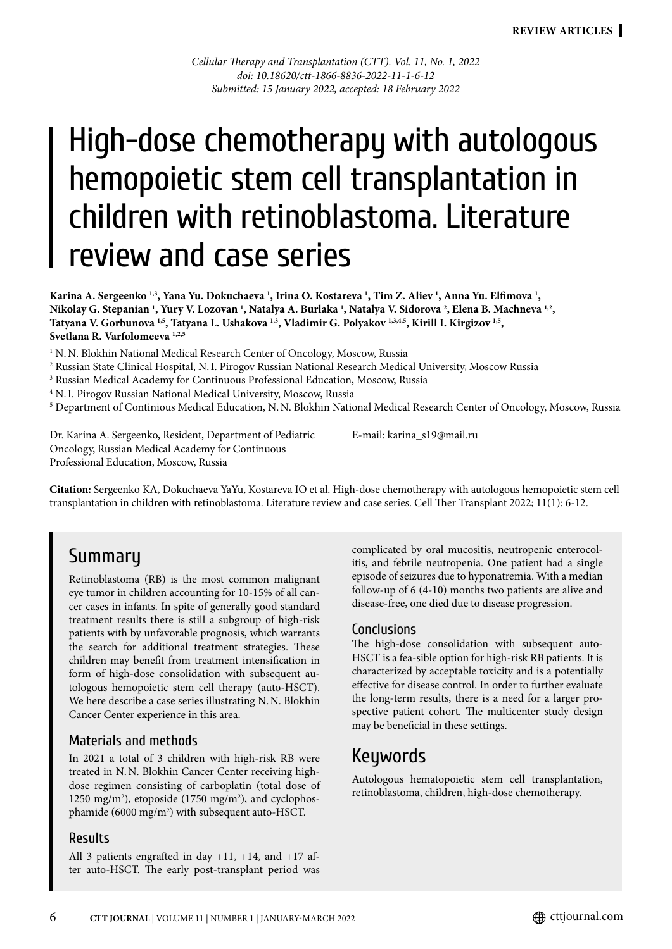*Cellular Therapy and Transplantation (CTT). Vol. 11, No. 1, 2022 doi: 10.18620/ctt-1866-8836-2022-11-1-6-12 Submitted: 15 January 2022, accepted: 18 February 2022*

# High-dose chemotherapy with autologous hemopoietic stem cell transplantation in children with retinoblastoma. Literature review and case series

**Karina A. Sergeenko 1,3, Yana Yu. Dokuchaeva 1 , Irina O. Kostareva 1 , Tim Z. Aliev 1 , Anna Yu. Elfimova 1 , Nikolay G. Stepanian 1 , Yury V. Lozovan 1 , Natalya A. Burlaka 1 , Natalya V. Sidorova 2 , Elena B. Machneva 1,2, Tatyana V. Gorbunova 1,5, Tatyana L. Ushakova 1,3, Vladimir G. Polyakov 1,3,4,5, Kirill I. Kirgizov 1,5, Svetlana R. Varfolomeeva 1,2,5**

<sup>1</sup> N.N. Blokhin National Medical Research Center of Oncology, Moscow, Russia

2 Russian State Clinical Hospital, N.I. Pirogov Russian National Research Medical University, Moscow Russia

<sup>3</sup> Russian Medical Academy for Continuous Professional Education, Moscow, Russia

<sup>4</sup> N. I. Pirogov Russian National Medical University, Moscow, Russia<br><sup>5</sup> Department of Continious Medical Education, N. N. Blokhin Natio

<sup>5</sup> Department of Continious Medical Education, N.N. Blokhin National Medical Research Center of Oncology, Moscow, Russia

Dr. Karina A. Sergeenko, Resident, Department of Pediatric Oncology, Russian Medical Academy for Continuous Professional Education, Moscow, Russia

E-mail: karina\_s19@mail.ru

**Citation:** Sergeenko KA, Dokuchaeva YaYu, Kostareva IO et al. High-dose chemotherapy with autologous hemopoietic stem cell transplantation in children with retinoblastoma. Literature review and case series. Cell Ther Transplant 2022; 11(1): 6-12.

### Summary

Retinoblastoma (RB) is the most common malignant eye tumor in children accounting for 10-15% of all cancer cases in infants. In spite of generally good standard treatment results there is still a subgroup of high-risk patients with by unfavorable prognosis, which warrants the search for additional treatment strategies. These children may benefit from treatment intensification in form of high-dose consolidation with subsequent autologous hemopoietic stem cell therapy (auto-HSCT). We here describe a case series illustrating N.N. Blokhin Cancer Center experience in this area.

#### Materials and methods

In 2021 a total of 3 children with high-risk RB were treated in N.N. Blokhin Cancer Center receiving highdose regimen consisting of carboplatin (total dose of 1250 mg/m2 ), etoposide (1750 mg/m2 ), and cyclophosphamide (6000 mg/m<sup>2</sup>) with subsequent auto-HSCT.

#### Results

All 3 patients engrafted in day +11, +14, and +17 after auto-HSCT. The early post-transplant period was complicated by oral mucositis, neutropenic enterocolitis, and febrile neutropenia. One patient had a single episode of seizures due to hyponatremia. With a median follow-up of 6 (4-10) months two patients are alive and disease-free, one died due to disease progression.

#### Conclusions

The high-dose consolidation with subsequent auto-HSCT is a fea-sible option for high-risk RB patients. It is characterized by acceptable toxicity and is a potentially effective for disease control. In order to further evaluate the long-term results, there is a need for a larger prospective patient cohort. The multicenter study design may be beneficial in these settings.

### **Keywords**

Autologous hematopoietic stem cell transplantation, retinoblastoma, children, high-dose chemotherapy.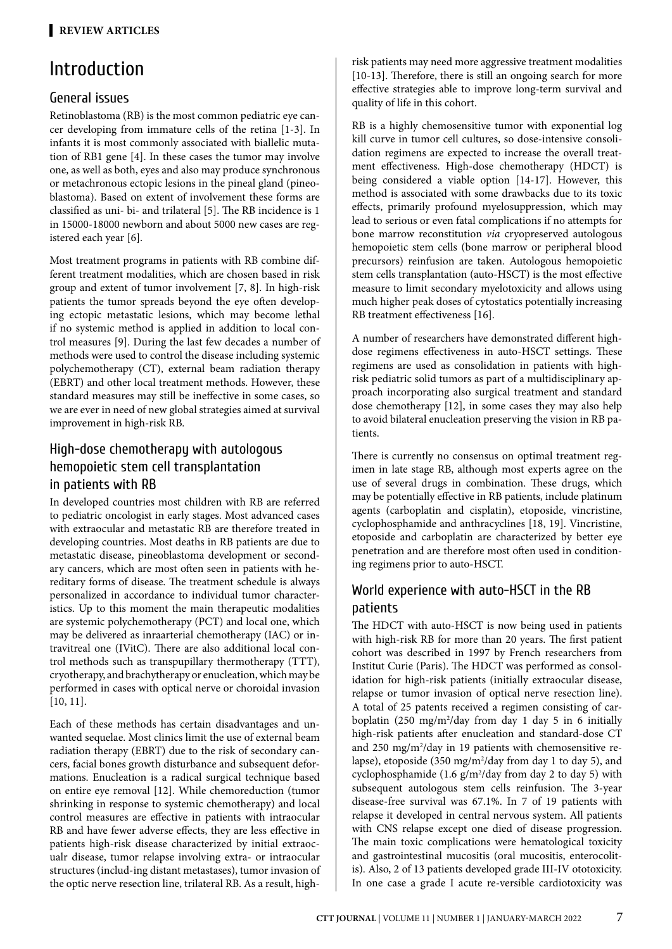# Introduction

### General issues

Retinoblastoma (RB) is the most common pediatric eye cancer developing from immature cells of the retina [1-3]. In infants it is most commonly associated with biallelic mutation of RB1 gene [4]. In these cases the tumor may involve one, as well as both, eyes and also may produce synchronous or metachronous ectopic lesions in the pineal gland (pineoblastoma). Based on extent of involvement these forms are classified as uni- bi- and trilateral [5]. The RB incidence is 1 in 15000-18000 newborn and about 5000 new cases are registered each year [6].

Most treatment programs in patients with RB combine different treatment modalities, which are chosen based in risk group and extent of tumor involvement [7, 8]. In high-risk patients the tumor spreads beyond the eye often developing ectopic metastatic lesions, which may become lethal if no systemic method is applied in addition to local control measures [9]. During the last few decades a number of methods were used to control the disease including systemic polychemotherapy (CT), external beam radiation therapy (EBRT) and other local treatment methods. However, these standard measures may still be ineffective in some cases, so we are ever in need of new global strategies aimed at survival improvement in high-risk RB.

### High-dose chemotherapy with autologous hemopoietic stem cell transplantation in patients with RB

In developed countries most children with RB are referred to pediatric oncologist in early stages. Most advanced cases with extraocular and metastatic RB are therefore treated in developing countries. Most deaths in RB patients are due to metastatic disease, pineoblastoma development or secondary cancers, which are most often seen in patients with hereditary forms of disease. The treatment schedule is always personalized in accordance to individual tumor characteristics. Up to this moment the main therapeutic modalities are systemic polychemotherapy (PCT) and local one, which may be delivered as inraarterial chemotherapy (IAC) or intravitreal one (IVitC). There are also additional local control methods such as transpupillary thermotherapy (TTT), cryotherapy, and brachytherapy or enucleation, which may be performed in cases with optical nerve or choroidal invasion [10, 11].

Each of these methods has certain disadvantages and unwanted sequelae. Most clinics limit the use of external beam radiation therapy (EBRT) due to the risk of secondary cancers, facial bones growth disturbance and subsequent deformations. Enucleation is a radical surgical technique based on entire eye removal [12]. While chemoreduction (tumor shrinking in response to systemic chemotherapy) and local control measures are effective in patients with intraocular RB and have fewer adverse effects, they are less effective in patients high-risk disease characterized by initial extraocualr disease, tumor relapse involving extra- or intraocular structures (includ-ing distant metastases), tumor invasion of the optic nerve resection line, trilateral RB. As a result, highrisk patients may need more aggressive treatment modalities [10-13]. Therefore, there is still an ongoing search for more effective strategies able to improve long-term survival and quality of life in this cohort.

RB is a highly chemosensitive tumor with exponential log kill curve in tumor cell cultures, so dose-intensive consolidation regimens are expected to increase the overall treatment effectiveness. High-dose chemotherapy (HDCT) is being considered a viable option [14-17]. However, this method is associated with some drawbacks due to its toxic effects, primarily profound myelosuppression, which may lead to serious or even fatal complications if no attempts for bone marrow reconstitution *via* cryopreserved autologous hemopoietic stem cells (bone marrow or peripheral blood precursors) reinfusion are taken. Autologous hemopoietic stem cells transplantation (auto-HSCT) is the most effective measure to limit secondary myelotoxicity and allows using much higher peak doses of cytostatics potentially increasing RB treatment effectiveness [16].

A number of researchers have demonstrated different highdose regimens effectiveness in auto-HSCT settings. These regimens are used as consolidation in patients with highrisk pediatric solid tumors as part of a multidisciplinary approach incorporating also surgical treatment and standard dose chemotherapy [12], in some cases they may also help to avoid bilateral enucleation preserving the vision in RB patients.

There is currently no consensus on optimal treatment regimen in late stage RB, although most experts agree on the use of several drugs in combination. These drugs, which may be potentially effective in RB patients, include platinum agents (carboplatin and cisplatin), etoposide, vincristine, cyclophosphamide and anthracyclines [18, 19]. Vincristine, etoposide and carboplatin are characterized by better eye penetration and are therefore most often used in conditioning regimens prior to auto-HSCT.

### World experience with auto-HSCT in the RB patients

The HDCT with auto-HSCT is now being used in patients with high-risk RB for more than 20 years. The first patient cohort was described in 1997 by French researchers from Institut Curie (Paris). The HDCT was performed as consolidation for high-risk patients (initially extraocular disease, relapse or tumor invasion of optical nerve resection line). A total of 25 patents received a regimen consisting of carboplatin (250 mg/m2 /day from day 1 day 5 in 6 initially high-risk patients after enucleation and standard-dose CT and 250 mg/m<sup>2</sup>/day in 19 patients with chemosensitive relapse), etoposide (350 mg/m<sup>2</sup>/day from day 1 to day 5), and cyclophosphamide  $(1.6 \text{ g/m}^2/\text{day} \text{ from day 2 to day 5})$  with subsequent autologous stem cells reinfusion. The 3-year disease-free survival was 67.1%. In 7 of 19 patients with relapse it developed in central nervous system. All patients with CNS relapse except one died of disease progression. The main toxic complications were hematological toxicity and gastrointestinal mucositis (oral mucositis, enterocolitis). Also, 2 of 13 patients developed grade III-IV ototoxicity. In one case a grade I acute re-versible cardiotoxicity was

7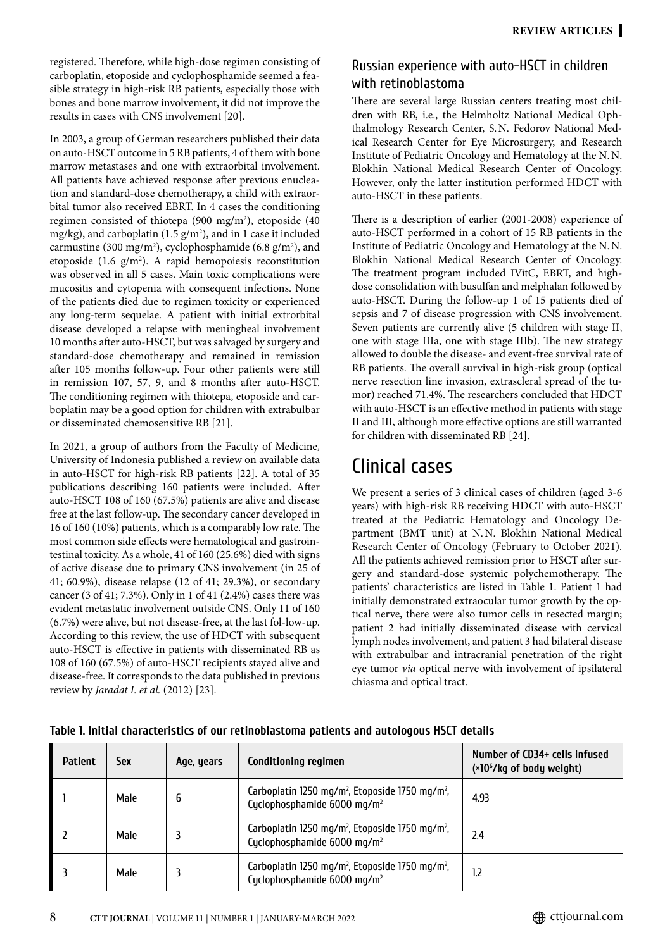registered. Therefore, while high-dose regimen consisting of carboplatin, etoposide and cyclophosphamide seemed a feasible strategy in high-risk RB patients, especially those with bones and bone marrow involvement, it did not improve the results in cases with CNS involvement [20].

In 2003, a group of German researchers published their data on auto-HSCT outcome in 5 RB patients, 4 of them with bone marrow metastases and one with extraorbital involvement. All patients have achieved response after previous enucleation and standard-dose chemotherapy, a child with extraorbital tumor also received EBRT. In 4 cases the conditioning regimen consisted of thiotepa (900 mg/m2 ), etoposide (40 mg/kg), and carboplatin (1.5  $g/m<sup>2</sup>$ ), and in 1 case it included carmustine (300 mg/m<sup>2</sup>), cyclophosphamide (6.8 g/m<sup>2</sup>), and etoposide  $(1.6 \text{ g/m}^2)$ . A rapid hemopoiesis reconstitution was observed in all 5 cases. Main toxic complications were mucositis and cytopenia with consequent infections. None of the patients died due to regimen toxicity or experienced any long-term sequelae. A patient with initial extrorbital disease developed a relapse with meningheal involvement 10 months after auto-HSCT, but was salvaged by surgery and standard-dose chemotherapy and remained in remission after 105 months follow-up. Four other patients were still in remission 107, 57, 9, and 8 months after auto-HSCT. The conditioning regimen with thiotepa, etoposide and carboplatin may be a good option for children with extrabulbar or disseminated chemosensitive RB [21].

In 2021, a group of authors from the Faculty of Medicine, University of Indonesia published a review on available data in auto-HSCT for high-risk RB patients [22]. A total of 35 publications describing 160 patients were included. After auto-HSCT 108 of 160 (67.5%) patients are alive and disease free at the last follow-up. The secondary cancer developed in 16 of 160 (10%) patients, which is a comparably low rate. The most common side effects were hematological and gastrointestinal toxicity. As a whole, 41 of 160 (25.6%) died with signs of active disease due to primary CNS involvement (in 25 of 41; 60.9%), disease relapse (12 of 41; 29.3%), or secondary cancer (3 of 41; 7.3%). Only in 1 of 41 (2.4%) cases there was evident metastatic involvement outside CNS. Only 11 of 160 (6.7%) were alive, but not disease-free, at the last fol-low-up. According to this review, the use of HDCT with subsequent auto-HSCT is effective in patients with disseminated RB as 108 of 160 (67.5%) of auto-HSCT recipients stayed alive and disease-free. It corresponds to the data published in previous review by *Jaradat I. et al.* (2012) [23].

### Russian experience with auto-HSCT in children with retinoblastoma

There are several large Russian centers treating most children with RB, i.e., the Helmholtz National Medical Ophthalmology Research Center, S.N. Fedorov National Medical Research Center for Eye Microsurgery, and Research Institute of Pediatric Oncology and Hematology at the N.N. Blokhin National Medical Research Center of Oncology. However, only the latter institution performed HDCT with auto-HSCT in these patients.

There is a description of earlier (2001-2008) experience of auto-HSCT performed in a cohort of 15 RB patients in the Institute of Pediatric Oncology and Hematology at the N.N. Blokhin National Medical Research Center of Oncology. The treatment program included IVitC, EBRT, and highdose consolidation with busulfan and melphalan followed by auto-HSCT. During the follow-up 1 of 15 patients died of sepsis and 7 of disease progression with CNS involvement. Seven patients are currently alive (5 children with stage II, one with stage IIIа, one with stage IIIb). The new strategy allowed to double the disease- and event-free survival rate of RB patients. The overall survival in high-risk group (optical nerve resection line invasion, extrascleral spread of the tumor) reached 71.4%. The researchers concluded that HDCT with auto-HSCT is an effective method in patients with stage II and III, although more effective options are still warranted for children with disseminated RB [24].

# Clinical cases

We present a series of 3 clinical cases of children (aged 3-6 years) with high-risk RB receiving HDCT with auto-HSCT treated at the Pediatric Hematology and Oncology Department (BMT unit) at N.N. Blokhin National Medical Research Center of Oncology (February to October 2021). All the patients achieved remission prior to HSCT after surgery and standard-dose systemic polychemotherapy. The patients' characteristics are listed in Table 1. Patient 1 had initially demonstrated extraocular tumor growth by the optical nerve, there were also tumor cells in resected margin; patient 2 had initially disseminated disease with cervical lymph nodes involvement, and patient 3 had bilateral disease with extrabulbar and intracranial penetration of the right eye tumor *via* optical nerve with involvement of ipsilateral chiasma and optical tract.

| <b>Patient</b> | Sex  | Age, years | <b>Conditioning regimen</b>                                                                                        | Number of CD34+ cells infused<br>(×10 <sup>6</sup> /kg of body weight) |  |  |
|----------------|------|------------|--------------------------------------------------------------------------------------------------------------------|------------------------------------------------------------------------|--|--|
|                | Male | b          | Carboplatin 1250 mg/m <sup>2</sup> , Etoposide 1750 mg/m <sup>2</sup> ,<br>Cyclophosphamide 6000 mg/m <sup>2</sup> | 4.93                                                                   |  |  |
|                | Male |            | Carboplatin 1250 mg/m <sup>2</sup> , Etoposide 1750 mg/m <sup>2</sup> ,<br>Cyclophosphamide 6000 mg/m <sup>2</sup> | 2.4                                                                    |  |  |
|                | Male |            | Carboplatin 1250 mg/m <sup>2</sup> , Etoposide 1750 mg/m <sup>2</sup> ,<br>Cyclophosphamide 6000 mg/m <sup>2</sup> | 1.2                                                                    |  |  |

### **Table 1. Initial characteristics of our retinoblastoma patients and autologous HSCT details**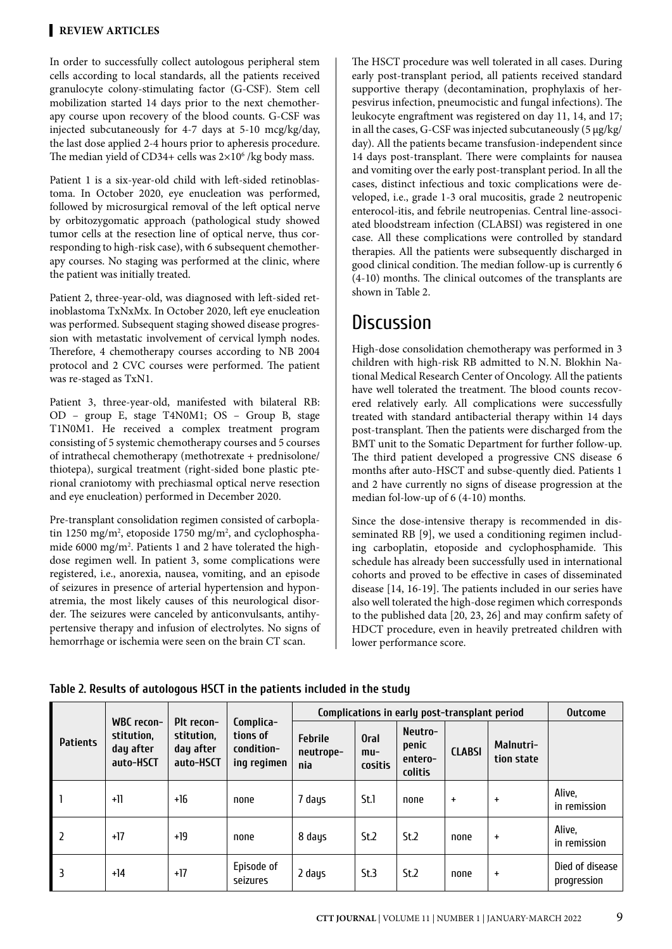In order to successfully collect autologous peripheral stem cells according to local standards, all the patients received granulocyte colony-stimulating factor (G-CSF). Stem cell mobilization started 14 days prior to the next chemotherapy course upon recovery of the blood counts. G-CSF was injected subcutaneously for 4-7 days at 5-10 mcg/kg/day, the last dose applied 2-4 hours prior to apheresis procedure. The median yield of CD34+ cells was  $2\times10^6$  /kg body mass.

Patient 1 is a six-year-old child with left-sided retinoblastoma. In October 2020, eye enucleation was performed, followed by microsurgical removal of the left optical nerve by orbitozygomatic approach (pathological study showed tumor cells at the resection line of optical nerve, thus corresponding to high-risk case), with 6 subsequent chemotherapy courses. No staging was performed at the clinic, where the patient was initially treated.

Patient 2, three-year-old, was diagnosed with left-sided retinoblastoma TхNxMх. In October 2020, left eye enucleation was performed. Subsequent staging showed disease progression with metastatic involvement of cervical lymph nodes. Therefore, 4 chemotherapy courses according to NB 2004 protocol and 2 СVC courses were performed. The patient was re-staged as TxN1.

Patient 3, three-year-old, manifested with bilateral RB: OD – group Е, stage T4N0M1; OS – Group B, stage T1N0M1. He received a complex treatment program consisting of 5 systemic chemotherapy courses and 5 courses of intrathecal chemotherapy (methotrexate + prednisolone/ thiotepa), surgical treatment (right-sided bone plastic pterional craniotomy with prechiasmal optical nerve resection and eye enucleation) performed in December 2020.

Pre-transplant consolidation regimen consisted of carboplatin 1250 mg/m<sup>2</sup>, etoposide 1750 mg/m<sup>2</sup>, and cyclophosphamide 6000 mg/m<sup>2</sup>. Patients 1 and 2 have tolerated the highdose regimen well. In patient 3, some complications were registered, i.e., anorexia, nausea, vomiting, and an episode of seizures in presence of arterial hypertension and hyponatremia, the most likely causes of this neurological disorder. The seizures were canceled by anticonvulsants, antihypertensive therapy and infusion of electrolytes. No signs of hemorrhage or ischemia were seen on the brain CT scan.

The HSCT procedure was well tolerated in all cases. During early post-transplant period, all patients received standard supportive therapy (decontamination, prophylaxis of herpesvirus infection, pneumocistic and fungal infections). The leukocyte engraftment was registered on day 11, 14, and 17; in all the cases, G-CSF was injected subcutaneously (5 µg/kg/ day). All the patients became transfusion-independent since 14 days post-transplant. There were complaints for nausea and vomiting over the early post-transplant period. In all the cases, distinct infectious and toxic complications were developed, i.e., grade 1-3 oral mucositis, grade 2 neutropenic enterocol-itis, and febrile neutropenias. Central line-associated bloodstream infection (CLABSI) was registered in one case. All these complications were controlled by standard therapies. All the patients were subsequently discharged in good clinical condition. The median follow-up is currently 6 (4-10) months. The clinical outcomes of the transplants are shown in Table 2.

# **Discussion**

High-dose consolidation chemotherapy was performed in 3 children with high-risk RB admitted to N.N. Blokhin National Medical Research Center of Oncology. All the patients have well tolerated the treatment. The blood counts recovered relatively early. All complications were successfully treated with standard antibacterial therapy within 14 days post-transplant. Then the patients were discharged from the BMT unit to the Somatic Department for further follow-up. The third patient developed a progressive CNS disease 6 months after auto-HSCT and subse-quently died. Patients 1 and 2 have currently no signs of disease progression at the median fol-low-up of 6 (4-10) months.

Since the dose-intensive therapy is recommended in disseminated RB [9], we used a conditioning regimen including carboplatin, etoposide and cyclophosphamide. This schedule has already been successfully used in international cohorts and proved to be effective in cases of disseminated disease [14, 16-19]. The patients included in our series have also well tolerated the high-dose regimen which corresponds to the published data [20, 23, 26] and may confirm safety of HDCT procedure, even in heavily pretreated children with lower performance score.

| <b>Patients</b> | WBC recon-<br>stitution.<br>day after<br>auto-HSCT | Plt recon-<br>stitution.<br>day after<br>auto-HSCT | Complica-<br>tions of<br>condition-<br>ing regimen | Complications in early post-transplant period |                                 |                                        |               |                         | <b>Outcome</b>                 |
|-----------------|----------------------------------------------------|----------------------------------------------------|----------------------------------------------------|-----------------------------------------------|---------------------------------|----------------------------------------|---------------|-------------------------|--------------------------------|
|                 |                                                    |                                                    |                                                    | <b>Febrile</b><br>neutrope-<br>nia            | <b>Oral</b><br>$mu-$<br>cositis | Neutro-<br>penic<br>entero-<br>colitis | <b>CLABSI</b> | Malnutri-<br>tion state |                                |
|                 | $+11$                                              | $+16$                                              | none                                               | 7 days                                        | St.1                            | none                                   | $+$           | $\ddot{}$               | Alive,<br>in remission         |
|                 | $+17$                                              | +19                                                | none                                               | 8 days                                        | St.2                            | St.2                                   | none          | $\ddot{}$               | Alive,<br>in remission         |
| l 3             | $+14$                                              | $+17$                                              | Episode of<br>seizures                             | 2 days                                        | St.3                            | St.2                                   | none          | $\ddot{}$               | Died of disease<br>progression |

**Table 2. Results of autologous HSCT in the patients included in the study**

9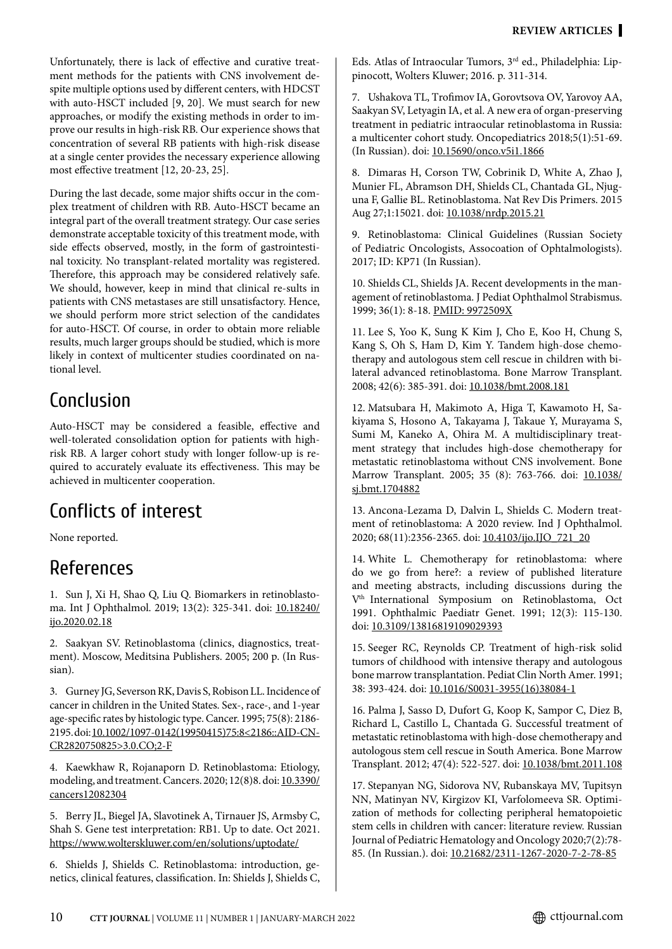Unfortunately, there is lack of effective and curative treatment methods for the patients with CNS involvement despite multiple options used by different centers, with HDCST with auto-HSCT included [9, 20]. We must search for new approaches, or modify the existing methods in order to improve our results in high-risk RB. Our experience shows that concentration of several RB patients with high-risk disease at a single center provides the necessary experience allowing most effective treatment [12, 20-23, 25].

During the last decade, some major shifts occur in the complex treatment of children with RB. Auto-HSCT became an integral part of the overall treatment strategy. Our case series demonstrate acceptable toxicity of this treatment mode, with side effects observed, mostly, in the form of gastrointestinal toxicity. No transplant-related mortality was registered. Therefore, this approach may be considered relatively safe. We should, however, keep in mind that clinical re-sults in patients with CNS metastases are still unsatisfactory. Hence, we should perform more strict selection of the candidates for auto-HSCT. Of course, in order to obtain more reliable results, much larger groups should be studied, which is more likely in context of multicenter studies coordinated on national level.

# Conclusion

Auto-HSCT may be considered a feasible, effective and well-tolerated consolidation option for patients with highrisk RB. A larger cohort study with longer follow-up is required to accurately evaluate its effectiveness. This may be achieved in multicenter cooperation.

# Conflicts of interest

None reported.

# References

1. Sun J, Xi H, Shao Q, Liu Q. Biomarkers in retinoblastoma. Int J Ophthalmol. 2019; 13(2): 325-341. doi: [10.18240/](http://doi.org/10.18240/ijo.2020.02.18) [ijo.2020.02.18](http://doi.org/10.18240/ijo.2020.02.18)

2. Saakyan SV. Retinoblastoma (clinics, diagnostics, treatment). Moscow, Meditsina Publishers. 2005; 200 p. (In Russian).

3. Gurney JG, Severson RK, Davis S, Robison LL. Incidence of cancer in children in the United States. Sex-, race-, and 1-year age-specific rates by histologic type. Cancer. 1995; 75(8): 2186- 2195. doi: [10.1002/1097-0142\(19950415\)75:8<2186::AID-CN-](http://doi.org/10.1002/1097-0142%2819950415%2975:8%3C2186::AID-CNCR2820750825%3E3.0.CO%3B2-F)[CR2820750825>3.0.CO;2-F](http://doi.org/10.1002/1097-0142%2819950415%2975:8%3C2186::AID-CNCR2820750825%3E3.0.CO%3B2-F)

4. Kaewkhaw R, Rojanaporn D. Retinoblastoma: Etiology, modeling, and treatment. Cancers. 2020; 12(8)8. doi: [10.3390/](https://doi.org/10.3390/cancers12082304) [cancers12082304](https://doi.org/10.3390/cancers12082304)

5. Berry JL, Biegel JA, Slavotinek A, Tirnauer JS, Armsby C, Shah S. Gene test interpretation: RB1. Up to date. Oct 2021. <https://www.wolterskluwer.com/en/solutions/uptodate/>

6. Shields J, Shields C. Retinoblastoma: introduction, genetics, clinical features, classification. In: Shields J, Shields C, Eds. Atlas of Intraocular Tumors, 3rd ed., Philadelphia: Lippinocott, Wolters Kluwer; 2016. p. 311-314.

7. Ushakova TL, Тrofimov IA, Gorovtsova OV, Yarovoy AA, Saakyan SV, Letyagin IA, et al. A new era of organ-preserving treatment in pediatric intraocular retinoblastoma in Russia: a multicenter cohort study. Oncopediatrics 2018;5(1):51-69. (In Russian). doi: [10.15690/onco.v5i1.1866](http://doi.org/10.15690/onco.v5i1.1866)

8. Dimaras H, Corson TW, Cobrinik D, White A, Zhao J, Munier FL, Abramson DH, Shields CL, Chantada GL, Njuguna F, Gallie BL. Retinoblastoma. Nat Rev Dis Primers. 2015 Aug 27;1:15021. doi: [10.1038/nrdp.2015.21](http://doi.org/10.1038/nrdp.2015.21)

9. Retinoblastoma: Clinical Guidelines (Russian Society of Pediatric Oncologists, Assocoation of Ophtalmologists). 2017; ID: КР71 (In Russian).

10. Shields CL, Shields JA. Recent developments in the management of retinoblastoma. J Pediat Ophthalmol Strabismus. 1999; 36(1): 8-18. [PMID: 9972509X](https://pubmed.ncbi.nlm.nih.gov/9972509/)

11. Lee S, Yoo K, Sung K Kim J, Cho E, Koo H, Chung S, Kang S, Oh S, Ham D, Kim Y. Tandem high-dose chemotherapy and autologous stem cell rescue in children with bilateral advanced retinoblastoma. Bone Marrow Transplant. 2008; 42(6): 385-391. doi: [10.1038/bmt.2008.181](https://doi.org/10.1038/bmt.2008.181)

12. Matsubara H, Makimoto A, Higa T, Kawamoto H, Sakiyama S, Hosono A, Takayama J, Takaue Y, Murayama S, Sumi M, Kaneko A, Ohira M. A multidisciplinary treatment strategy that includes high-dose chemotherapy for metastatic retinoblastoma without CNS involvement. Bone Marrow Transplant. 2005; 35 (8): 763-766. doi: [10.1038/](https://doi.org/10.1038/sj.bmt.1704882) [sj.bmt.1704882](https://doi.org/10.1038/sj.bmt.1704882)

13. Ancona-Lezama D, Dalvin L, Shields C. Modern treatment of retinoblastoma: A 2020 review. Ind J Ophthalmol. 2020; 68(11):2356-2365. doi: [10.4103/ijo.IJO\\_721\\_20](http://doi.org/10.4103/ijo.IJO_721_20)

14. White L. Chemotherapy for retinoblastoma: where do we go from here?: a review of published literature and meeting abstracts, including discussions during the V<sup>th</sup> International Symposium on Retinoblastoma, Oct 1991. Ophthalmic Paediatr Genet. 1991; 12(3): 115-130. doi: [10.3109/13816819109029393](http://doi.org/10.3109/13816819109029393)

15. Seeger RC, Reynolds CP. Treatment of high-risk solid tumors of childhood with intensive therapy and autologous bone marrow transplantation. Pediat Clin North Amer. 1991; 38: 393-424. doi: [10.1016/S0031-3955\(16\)38084-1](http://doi.org/10.1016/S0031-3955%2816%2938084-1)

16. Palma J, Sasso D, Dufort G, Koop K, Sampor C, Diez B, Richard L, Castillo L, Chantada G. Successful treatment of metastatic retinoblastoma with high-dose chemotherapy and autologous stem cell rescue in South America. Bone Marrow Transplant. 2012; 47(4): 522-527. doi: [10.1038/bmt.2011.108](http://doi.org/10.1038/bmt.2011.108%0D)

17. Stepanyan NG, Sidorova NV, Rubanskaya MV, Tupitsyn NN, Matinyan NV, Kirgizov KI, Varfolomeeva SR. Optimization of methods for collecting peripheral hematopoietic stem cells in children with cancer: literature review. Russian Journal of Pediatric Hematology аnd Oncology 2020;7(2):78- 85. (In Russian.). doi: [10.21682/2311-1267-2020-7-2-78-85](http://doi.org/10.21682/2311-1267-2020-7-2-78-85)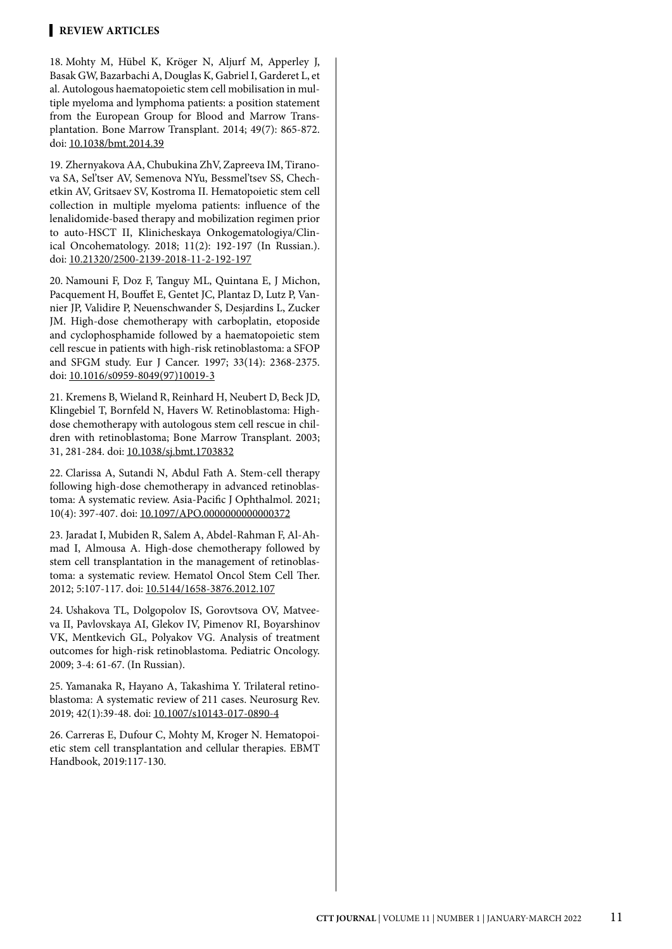#### **REVIEW ARTICLEs**

18. Mohty M, Hübel K, Kröger N, Aljurf M, Apperley J, Basak GW, Bazarbachi A, Douglas K, Gabriel I, Garderet L, et al. Autologous haematopoietic stem cell mobilisation in mul tiple myeloma and lymphoma patients: a position statement from the European Group for Blood and Marrow Trans plantation. Вone Marrow Transplant. 2014; 49(7): 865-872. doi: [10.1038/bmt.2014.39](http://doi.org/10.1038/bmt.2014.39)

19. Zhernyakova AA, Chubukina ZhV, Zapreeva IM, Tirano va SA, Sel'tser AV, Semenova NYu, Bessmel'tsev SS, Chech etkin AV, Gritsaev SV, Kostroma II. Hematopoietic stem cell collection in multiple myeloma patients: influence of the lenalidomide-based therapy and mobilization regimen prior to auto-HSCT II, Klinicheskaya Onkogematologiya/Clin ical Oncohematology. 2018; 11(2): 192-197 (In Russian.). doi: [10.21320/2500-2139-2018-11-2-192-197](http://doi.org/10.21320/2500-2139-2018-11-2-192-197)

20. Namouni F, Doz F, Tanguy ML, Quintana E, J Michon, Pacquement H, Bouffet E, Gentet JC, Plantaz D, Lutz P, Van nier JP, Validire P, Neuenschwander S, Desjardins L, Zucker JM. High-dose chemotherapy with carboplatin, etoposide and cyclophosphamide followed by a haematopoietic stem cell rescue in patients with high-risk retinoblastoma: a SFOP and SFGM study. Eur J Cancer. 1997; 33(14): 2368-2375. doi: [10.1016/s0959-8049\(97\)10019-3](http://doi.org/10.1016/s0959-8049%2897%2910019-3)

21. Kremens B, Wieland R, Reinhard H, Neubert D, Beck JD, Klingebiel T, Bornfeld N, Havers W. Retinoblastoma: Highdose chemotherapy with autologous stem cell rescue in children with retinoblastoma; Bone Marrow Transplant. 2003; 31, 281-284. doi: [10.1038/sj.bmt.1703832](http://doi.org/10.1038/sj.bmt.1703832)

22. Clarissa A, Sutandi N, Abdul Fath A. Stem-cell therapy following high-dose chemotherapy in advanced retinoblas toma: A systematic review. Asia-Pacific J Ophthalmol. 2021; 10(4): 397-407. doi: [10.1097/APO.0000000000000372](http://doi.org/10.1097/APO.0000000000000372)

23. Jaradat I, Mubiden R, Salem A, Abdel-Rahman F, Al-Ah mad I, Almousa A. High-dose chemotherapy followed by stem cell transplantation in the management of retinoblas toma: a systematic review. Hematol Oncol Stem Cell Ther. 2012; 5:107-117. doi: [10.5144/1658-3876.2012.107](http://doi.org/10.5144/1658-3876.2012.107)

24. Ushakova TL, Dolgopolov IS, Gorovtsova OV, Matvee va II, Pavlovskaya AI, Glekov IV, Pimenov RI, Boyarshinov VK, Mentkevich GL, Polyakov VG. Analysis of treatment outcomes for high-risk retinoblastoma. Pediatric Oncology. 2009; 3-4: 61-67. (In Russian).

25. Yamanaka R, Hayano A, Takashima Y. Trilateral retino blastoma: A systematic review of 211 cases. Neurosurg Rev. 2019; 42(1):39-48. doi: [10.1007/s10143-017-0890-4](http://doi.org/10.1007/s10143-017-0890-4)

26. Carreras E, Dufour C, Mohty M, Kroger N. Hematopoi etic stem cell transplantation and cellular therapies. EBMT Handbook, 2019:117-130.